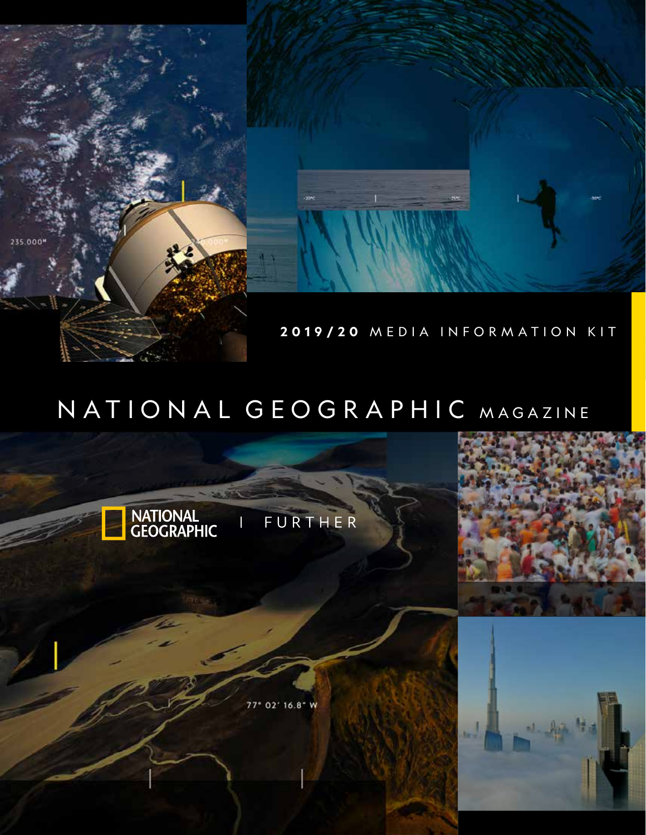235.000

**2 0 19/ 2 0** M E DIA INFORM A TION KIT

# NATIONAL GEOGRAPHIC MAGAZINE

NATIONAL<br>GEOGRAPHIC FURTHER T

77° 02' 16.8" W

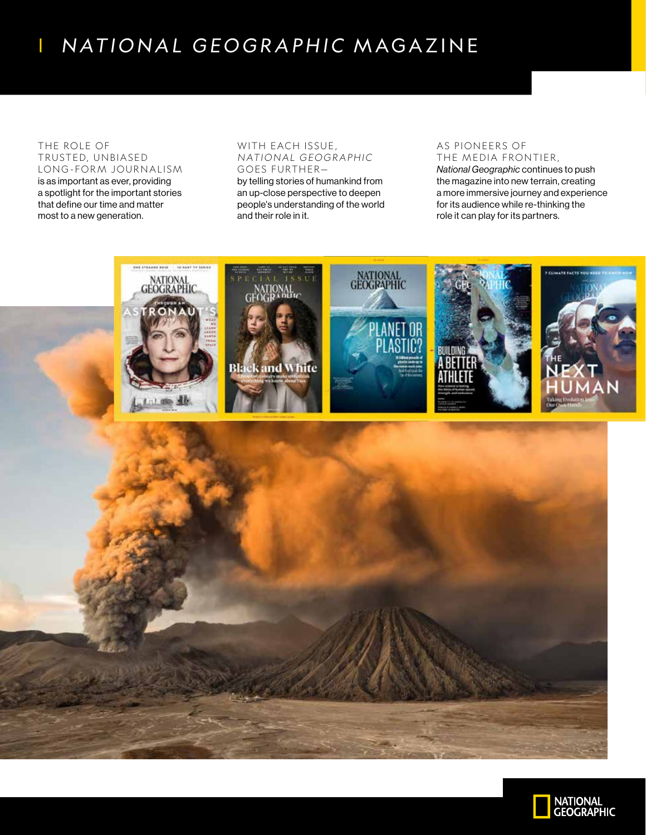### | NATIONAL GEOGRAPHIC MAGAZINE

THE ROLE OF TRUSTED, UNBIASED LONG-FORM JOURNALISM is as important as ever, providing a spotlight for the important stories that define our time and matter most to a new generation.

#### WITH EACH ISSUE, NATIONAL GEOGRAPHIC GOES FURTHERby telling stories of humankind from an up-close perspective to deepen people's understanding of the world and their role in it.

#### AS PIONEERS OF THE MEDIA FRONTIER,

*National Geographic* continues to push the magazine into new terrain, creating a more immersive journey and experience for its audience while re-thinking the role it can play for its partners.



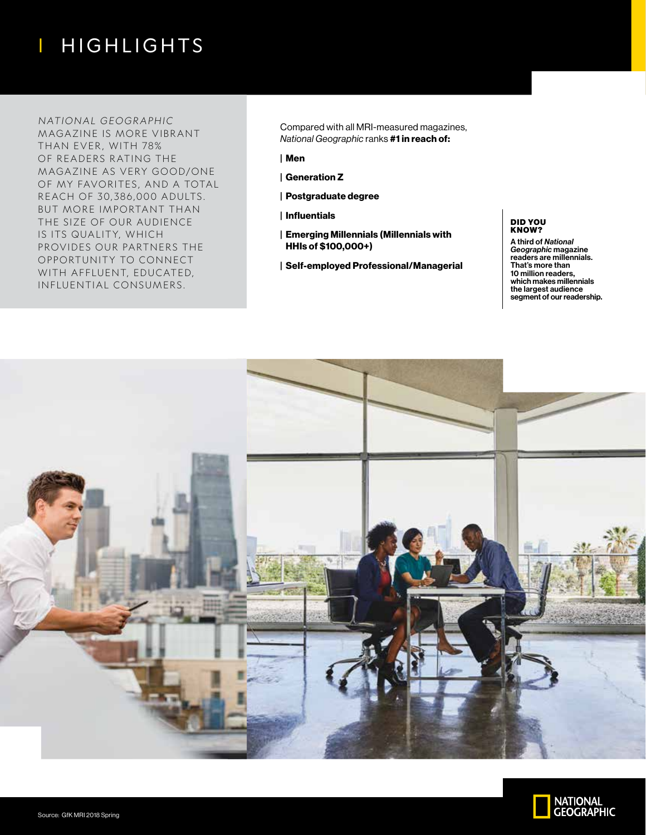## | HIGHLIGHTS

NATIONAL GEOGRAPHIC MAGAZINE IS MORE VIBRANT THAN EVER, WITH 78% OF READERS RATING THE MAGAZINE AS VERY GOOD/ONE OF MY FAVORITES, AND A TOTAL REACH OF 30,386,000 ADULTS. BUT MORE IMPORTANT THAN THE SIZE OF OUR AUDIENCE IS ITS QUALITY, WHICH PROVIDES OUR PARTNERS THE OPPORTUNITY TO CONNECT WITH AFFLUENT, EDUCATED, INFLUENTIAL CONSUMERS.

Compared with all MRI-measured magazines, *National Geographic* ranks #1 in reach of:

#### | Men

- | Generation Z
- | Postgraduate degree
- | Influentials
- | Emerging Millennials (Millennials with HHIs of \$100,000+)
- | Self-employed Professional/Managerial

### DID YOU KNOW?

A third of *National Geographic* magazine readers are millennials. That's more than 10 million readers, which makes millennials the largest audience segment of our readership.



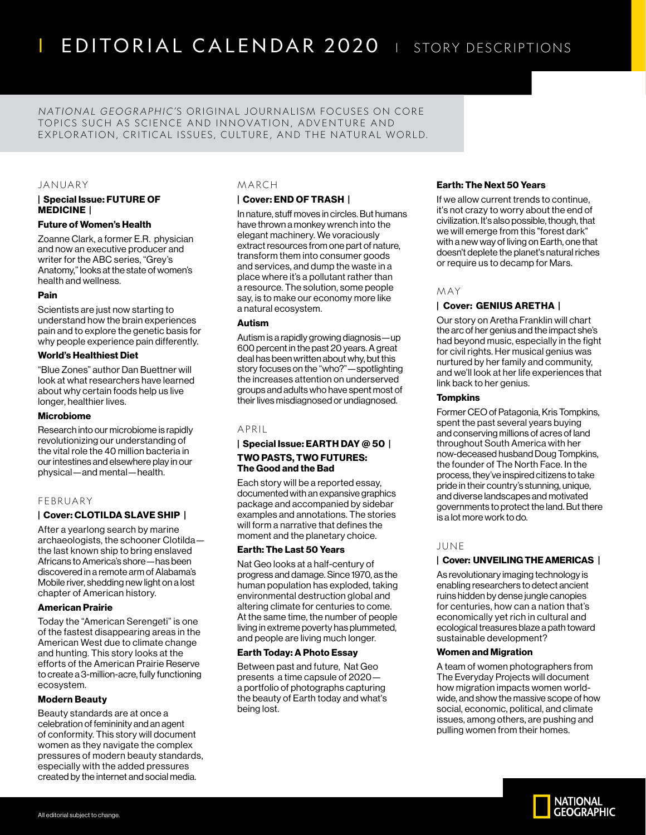NATIONAL GEOGRAPHIC'S ORIGINAL JOURNALISM FOCUSES ON CORE TOPICS SUCH AS SCIENCE AND INNOVATION, ADVENTURE AND EXPLORATION, CRITICAL ISSUES, CULTURE, AND THE NATURAL WORLD.

#### **JANUARY**

#### | Special Issue: FUTURE OF MEDICINE |

#### Future of Women's Health

Zoanne Clark, a former E.R. physician and now an executive producer and writer for the ABC series, "Grey's Anatomy," looks at the state of women's health and wellness.

#### Pain

Scientists are just now starting to understand how the brain experiences pain and to explore the genetic basis for why people experience pain differently.

#### World's Healthiest Diet

"Blue Zones" author Dan Buettner will look at what researchers have learned about why certain foods help us live longer, healthier lives.

#### Microbiome

Research into our microbiome is rapidly revolutionizing our understanding of the vital role the 40 million bacteria in our intestines and elsewhere play in our physical—and mental—health.

#### **FEBRUARY**

#### | Cover: CLOTILDA SLAVE SHIP |

After a yearlong search by marine archaeologists, the schooner Clotilda the last known ship to bring enslaved Africans to America's shore—has been discovered in a remote arm of Alabama's Mobile river, shedding new light on a lost chapter of American history.

#### American Prairie

Today the "American Serengeti" is one of the fastest disappearing areas in the American West due to climate change and hunting. This story looks at the efforts of the American Prairie Reserve to create a 3-million-acre, fully functioning ecosystem.

#### Modern Beauty

Beauty standards are at once a celebration of femininity and an agent of conformity. This story will document women as they navigate the complex pressures of modern beauty standards, especially with the added pressures created by the internet and social media.

#### **MARCH**

#### | Cover: END OF TRASH |

In nature, stuff moves in circles. But humans have thrown a monkey wrench into the elegant machinery. We voraciously extract resources from one part of nature, transform them into consumer goods and services, and dump the waste in a place where it's a pollutant rather than a resource. The solution, some people say, is to make our economy more like a natural ecosystem.

#### Autism

Autism is a rapidly growing diagnosis—up 600 percent in the past 20 years. A great deal has been written about why, but this story focuses on the "who?"—spotlighting the increases attention on underserved groups and adults who have spent most of their lives misdiagnosed or undiagnosed.

#### APRIL

#### | Special Issue: EARTH DAY @ 50 | TWO PASTS, TWO FUTURES: The Good and the Bad

Each story will be a reported essay, documented with an expansive graphics package and accompanied by sidebar examples and annotations. The stories will form a narrative that defines the moment and the planetary choice.

#### Earth: The Last 50 Years

Nat Geo looks at a half-century of progress and damage. Since 1970, as the human population has exploded, taking environmental destruction global and altering climate for centuries to come. At the same time, the number of people living in extreme poverty has plummeted, and people are living much longer.

#### Earth Today: A Photo Essay

Between past and future, Nat Geo presents a time capsule of 2020 a portfolio of photographs capturing the beauty of Earth today and what's being lost.

#### Earth: The Next 50 Years

If we allow current trends to continue, it's not crazy to worry about the end of civilization. It's also possible, though, that we will emerge from this "forest dark" with a new way of living on Earth, one that doesn't deplete the planet's natural riches or require us to decamp for Mars.

#### MAY

#### | Cover: GENIUS ARETHA |

Our story on Aretha Franklin will chart the arc of her genius and the impact she's had beyond music, especially in the fight for civil rights. Her musical genius was nurtured by her family and community, and we'll look at her life experiences that link back to her genius.

#### **Tompkins**

Former CEO of Patagonia, Kris Tompkins, spent the past several years buying and conserving millions of acres of land throughout South America with her now-deceased husband Doug Tompkins, the founder of The North Face. In the process, they've inspired citizens to take pride in their country's stunning, unique, and diverse landscapes and motivated governments to protect the land. But there is a lot more work to do.

#### JUNE

#### | Cover: UNVEILING THE AMERICAS |

As revolutionary imaging technology is enabling researchers to detect ancient ruins hidden by dense jungle canopies for centuries, how can a nation that's economically yet rich in cultural and ecological treasures blaze a path toward sustainable development?

#### Women and Migration

A team of women photographers from The Everyday Projects will document how migration impacts women worldwide, and show the massive scope of how social, economic, political, and climate issues, among others, are pushing and pulling women from their homes.

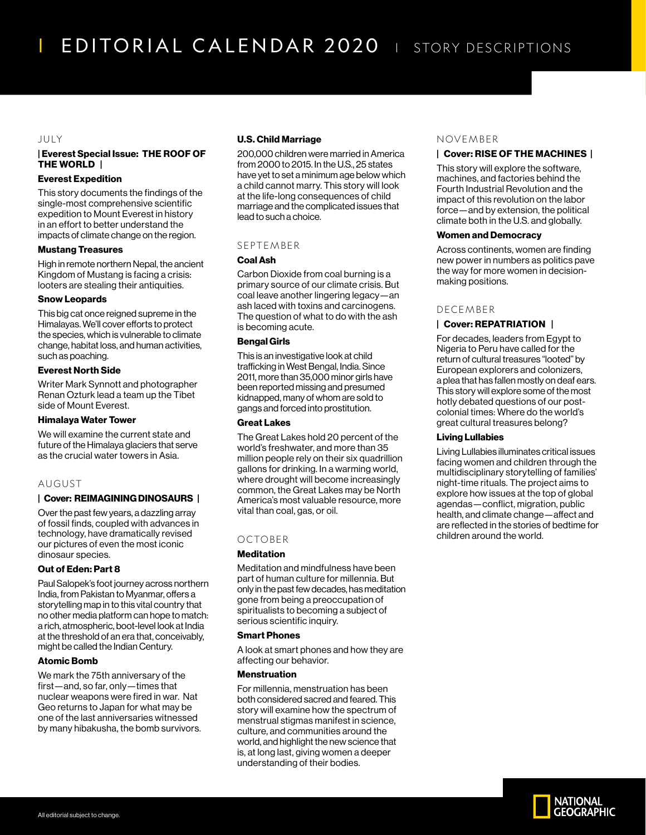#### JULY

#### | Everest Special Issue: THE ROOF OF THE WORLD |

#### Everest Expedition

This story documents the findings of the single-most comprehensive scientific expedition to Mount Everest in history in an effort to better understand the impacts of climate change on the region.

#### Mustang Treasures

High in remote northern Nepal, the ancient Kingdom of Mustang is facing a crisis: looters are stealing their antiquities.

#### Snow Leopards

This big cat once reigned supreme in the Himalayas. We'll cover efforts to protect the species, which is vulnerable to climate change, habitat loss, and human activities, such as poaching.

#### Everest North Side

Writer Mark Synnott and photographer Renan Ozturk lead a team up the Tibet side of Mount Everest.

#### Himalaya Water Tower

We will examine the current state and future of the Himalaya glaciers that serve as the crucial water towers in Asia.

#### AUGUST

#### | Cover: REIMAGINING DINOSAURS |

Over the past few years, a dazzling array of fossil finds, coupled with advances in technology, have dramatically revised our pictures of even the most iconic dinosaur species.

#### Out of Eden: Part 8

Paul Salopek's foot journey across northern India, from Pakistan to Myanmar, offers a storytelling map in to this vital country that no other media platform can hope to match: a rich, atmospheric, boot-level look at India at the threshold of an era that, conceivably, might be called the Indian Century.

#### Atomic Bomb

We mark the 75th anniversary of the first—and, so far, only—times that nuclear weapons were fired in war. Nat Geo returns to Japan for what may be one of the last anniversaries witnessed by many hibakusha, the bomb survivors.

#### U.S. Child Marriage

200,000 children were married in America from 2000 to 2015. In the U.S., 25 states have yet to set a minimum age below which a child cannot marry. This story will look at the life-long consequences of child marriage and the complicated issues that lead to such a choice.

#### **SEPTEMBER**

#### Coal Ash

Carbon Dioxide from coal burning is a primary source of our climate crisis. But coal leave another lingering legacy—an ash laced with toxins and carcinogens. The question of what to do with the ash is becoming acute.

#### Bengal Girls

This is an investigative look at child trafficking in West Bengal, India. Since 2011, more than 35,000 minor girls have been reported missing and presumed kidnapped, many of whom are sold to gangs and forced into prostitution.

#### Great Lakes

The Great Lakes hold 20 percent of the world's freshwater, and more than 35 million people rely on their six quadrillion gallons for drinking. In a warming world, where drought will become increasingly common, the Great Lakes may be North America's most valuable resource, more vital than coal, gas, or oil.

#### OCTOBER

#### Meditation

Meditation and mindfulness have been part of human culture for millennia. But only in the past few decades, has meditation gone from being a preoccupation of spiritualists to becoming a subject of serious scientific inquiry.

#### Smart Phones

A look at smart phones and how they are affecting our behavior.

#### Menstruation

For millennia, menstruation has been both considered sacred and feared. This story will examine how the spectrum of menstrual stigmas manifest in science, culture, and communities around the world, and highlight the new science that is, at long last, giving women a deeper understanding of their bodies.

#### **NOVEMBER**

#### | Cover: RISE OF THE MACHINES |

This story will explore the software, machines, and factories behind the Fourth Industrial Revolution and the impact of this revolution on the labor force—and by extension, the political climate both in the U.S. and globally.

#### Women and Democracy

Across continents, women are finding new power in numbers as politics pave the way for more women in decisionmaking positions.

#### **DECEMBER**

#### | Cover: REPATRIATION |

For decades, leaders from Egypt to Nigeria to Peru have called for the return of cultural treasures "looted" by European explorers and colonizers, a plea that has fallen mostly on deaf ears. This story will explore some of the most hotly debated questions of our postcolonial times: Where do the world's great cultural treasures belong?

#### Living Lullabies

Living Lullabies illuminates critical issues facing women and children through the multidisciplinary storytelling of families' night-time rituals. The project aims to explore how issues at the top of global agendas—conflict, migration, public health, and climate change—affect and are reflected in the stories of bedtime for children around the world.

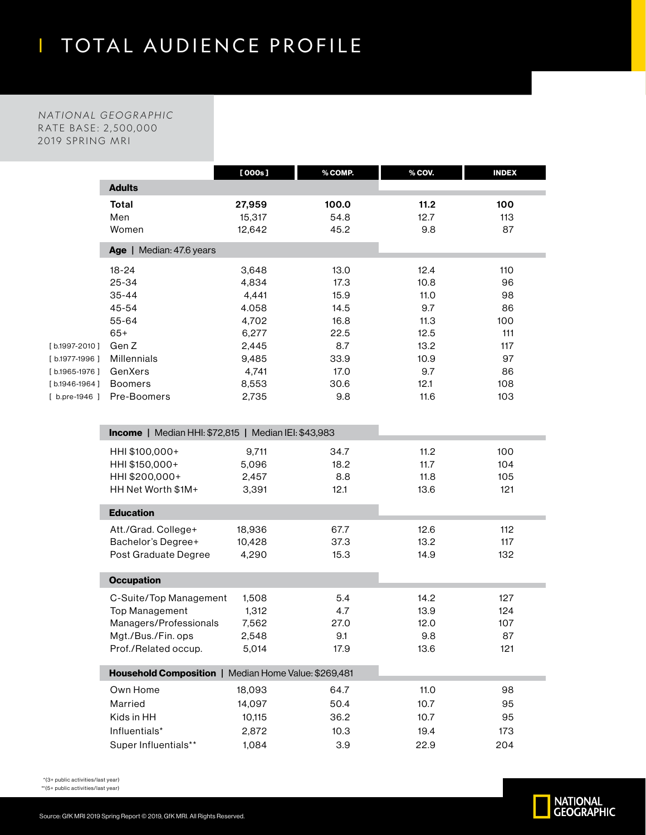### | TOTAL AUDIENCE PROFILE

#### NATIONAL GEOGRAPHIC RATE BASE: 2,500,000 2019 SPRING MRI

|                     |                                                             | [000s] | % COMP. | % COV. | <b>INDEX</b> |  |
|---------------------|-------------------------------------------------------------|--------|---------|--------|--------------|--|
|                     | <b>Adults</b>                                               |        |         |        |              |  |
|                     | <b>Total</b>                                                | 27,959 | 100.0   | 11.2   | 100          |  |
|                     | Men                                                         | 15,317 | 54.8    | 12.7   | 113          |  |
|                     | Women                                                       | 12,642 | 45.2    | 9.8    | 87           |  |
|                     | Age   Median: 47.6 years                                    |        |         |        |              |  |
|                     | $18 - 24$                                                   | 3,648  | 13.0    | 12.4   | 110          |  |
|                     | 25-34                                                       | 4,834  | 17.3    | 10.8   | 96           |  |
|                     | $35 - 44$                                                   | 4,441  | 15.9    | 11.0   | 98           |  |
|                     | 45-54                                                       | 4.058  | 14.5    | 9.7    | 86           |  |
|                     | 55-64                                                       | 4,702  | 16.8    | 11.3   | 100          |  |
|                     | $65+$                                                       | 6,277  | 22.5    | 12.5   | 111          |  |
| [b.1997-2010]       | Gen Z                                                       | 2,445  | 8.7     | 13.2   | 117          |  |
| [b.1977-1996]       | Millennials                                                 | 9,485  | 33.9    | 10.9   | 97           |  |
| $[ b.1965 - 1976 ]$ | GenXers                                                     | 4,741  | 17.0    | 9.7    | 86           |  |
| $[b.1946 - 1964]$   | <b>Boomers</b>                                              | 8,553  | 30.6    | 12.1   | 108          |  |
| $[$ b.pre-1946 ]    | Pre-Boomers                                                 | 2,735  | 9.8     | 11.6   | 103          |  |
|                     |                                                             |        |         |        |              |  |
|                     | <b>Income</b>   Median HHI: \$72,815   Median IEI: \$43,983 |        |         |        |              |  |
|                     | HHI \$100,000+                                              | 9,711  | 34.7    | 11.2   | 100          |  |
|                     | HHI \$150,000+                                              | 5,096  | 18.2    | 11.7   | 104          |  |
|                     | HHI \$200,000+                                              | 2,457  | 8.8     | 11.8   | 105          |  |
|                     | HH Net Worth \$1M+                                          | 3,391  | 12.1    | 13.6   | 121          |  |
|                     |                                                             |        |         |        |              |  |
|                     | <b>Education</b>                                            |        |         |        |              |  |
|                     | Att./Grad. College+                                         | 18,936 | 67.7    | 12.6   | 112          |  |
|                     | Bachelor's Degree+                                          | 10,428 | 37.3    | 13.2   | 117          |  |
|                     | Post Graduate Degree                                        | 4,290  | 15.3    | 14.9   | 132          |  |
|                     | <b>Occupation</b>                                           |        |         |        |              |  |
|                     | C-Suite/Top Management                                      | 1,508  | 5.4     | 14.2   | 127          |  |
|                     | <b>Top Management</b>                                       | 1,312  | 4.7     | 13.9   | 124          |  |
|                     | Managers/Professionals                                      | 7,562  | 27.0    | 12.0   | 107          |  |
|                     | Mgt./Bus./Fin.ops                                           | 2,548  | 9.1     | 9.8    | 87           |  |
|                     | Prof./Related occup.                                        | 5,014  | 17.9    | 13.6   | 121          |  |
|                     | Household Composition   Median Home Value: \$269,481        |        |         |        |              |  |
|                     | Own Home                                                    | 18,093 | 64.7    | 11.0   | 98           |  |
|                     | Married                                                     | 14,097 | 50.4    | 10.7   | 95           |  |
|                     | Kids in HH                                                  | 10,115 | 36.2    | 10.7   | 95           |  |
|                     | Influentials*                                               | 2,872  | 10.3    | 19.4   | 173          |  |
|                     | Super Influentials**                                        | 1,084  | 3.9     | 22.9   | 204          |  |
|                     |                                                             |        |         |        |              |  |

NATIONAL<br>GEOGRAPHIC

\*(3+ public activities/last year)

\*\*(5+ public activities/last year)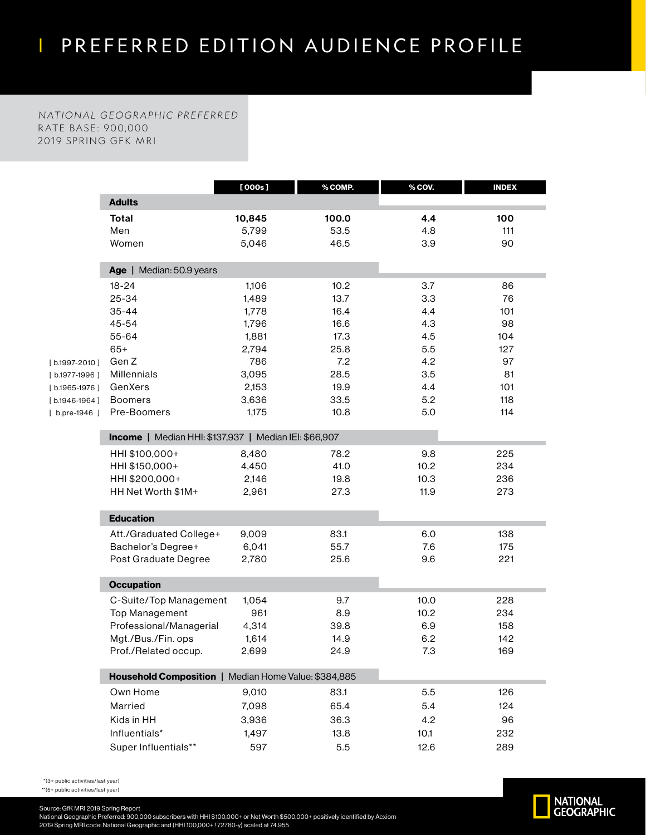#### NATIONAL GEOGRAPHIC PREFERRED RATE BASE: 900,000 2019 SPRING GFK MRI

|                     |                                                       | [000s] | % COMP. | % COV. | <b>INDEX</b> |
|---------------------|-------------------------------------------------------|--------|---------|--------|--------------|
|                     | <b>Adults</b>                                         |        |         |        |              |
|                     | <b>Total</b>                                          | 10,845 | 100.0   | 4.4    | 100          |
|                     | Men                                                   | 5,799  | 53.5    | 4.8    | 111          |
|                     | Women                                                 | 5,046  | 46.5    | 3.9    | 90           |
|                     | Age   Median: 50.9 years                              |        |         |        |              |
|                     | $18 - 24$                                             | 1,106  | 10.2    | 3.7    | 86           |
|                     | 25-34                                                 | 1,489  | 13.7    | 3.3    | 76           |
|                     | $35 - 44$                                             | 1,778  | 16.4    | 4.4    | 101          |
|                     | 45-54                                                 | 1,796  | 16.6    | 4.3    | 98           |
|                     | 55-64                                                 | 1,881  | 17.3    | 4.5    | 104          |
|                     | $65+$                                                 | 2,794  | 25.8    | 5.5    | 127          |
| [b.1997-2010]       | Gen Z                                                 | 786    | 7.2     | 4.2    | 97           |
| $[ b.1977 - 1996 ]$ | Millennials                                           | 3,095  | 28.5    | 3.5    | 81           |
| $[ b.1965 - 1976 ]$ | GenXers                                               | 2,153  | 19.9    | 4.4    | 101          |
| $[b.1946 - 1964]$   | <b>Boomers</b>                                        | 3,636  | 33.5    | 5.2    | 118          |
| $[$ b.pre-1946 ]    | Pre-Boomers                                           | 1,175  | 10.8    | 5.0    | 114          |
|                     | Income   Median HHI: \$137,937   Median IEI: \$66,907 |        |         |        |              |
|                     | HHI \$100,000+                                        | 8,480  | 78.2    | 9.8    | 225          |
|                     | HHI \$150,000+                                        | 4,450  | 41.0    | 10.2   | 234          |
|                     | HHI \$200,000+                                        | 2,146  | 19.8    | 10.3   | 236          |
|                     | HH Net Worth \$1M+                                    | 2,961  | 27.3    | 11.9   | 273          |
|                     | <b>Education</b>                                      |        |         |        |              |
|                     | Att./Graduated College+                               | 9,009  | 83.1    | 6.0    | 138          |
|                     | Bachelor's Degree+                                    | 6,041  | 55.7    | 7.6    | 175          |
|                     | Post Graduate Degree                                  | 2,780  | 25.6    | 9.6    | 221          |
|                     | <b>Occupation</b>                                     |        |         |        |              |
|                     | C-Suite/Top Management                                | 1,054  | 9.7     | 10.0   | 228          |
|                     | Top Management                                        | 961    | 8.9     | 10.2   | 234          |
|                     | Professional/Managerial                               | 4,314  | 39.8    | 6.9    | 158          |
|                     | Mgt./Bus./Fin.ops                                     | 1,614  | 14.9    | 6.2    | 142          |
|                     | Prof./Related occup.                                  | 2,699  | 24.9    | 7.3    | 169          |
|                     | Household Composition   Median Home Value: \$384,885  |        |         |        |              |
|                     | Own Home                                              | 9,010  | 83.1    | 5.5    | 126          |
|                     | Married                                               | 7,098  | 65.4    | 5.4    | 124          |
|                     | Kids in HH                                            | 3,936  | 36.3    | 4.2    | 96           |
|                     | Influentials*                                         | 1,497  | 13.8    | 10.1   | 232          |
|                     | Super Influentials**                                  | 597    | 5.5     | 12.6   | 289          |



\*\*(5+ public activities/last year)

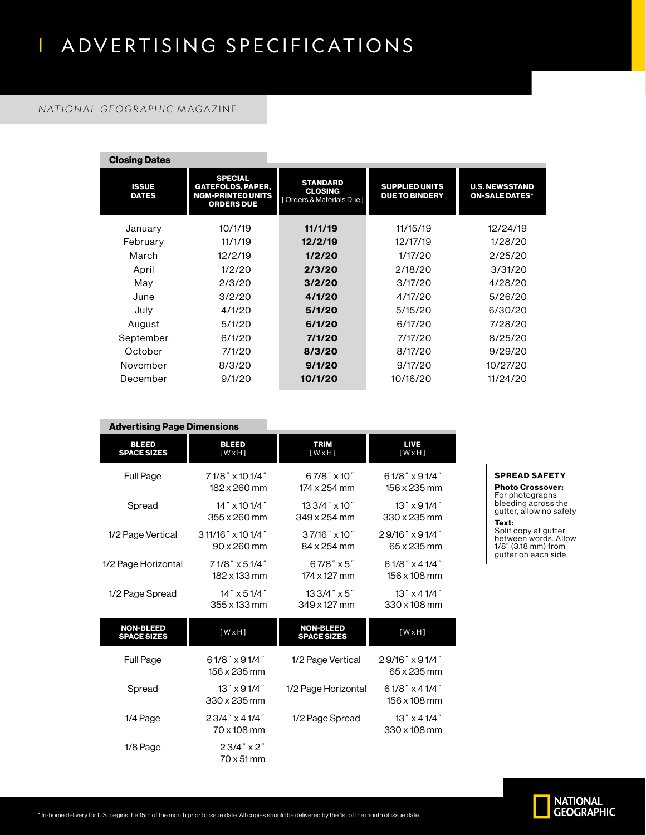## | ADVERTISING SPECIFICATIONS

#### NATIONAL GEOGRAPHIC MAGAZINE

| <b>Closing Dates</b>         |                                                                                      |                                                               |                                                |                                                |
|------------------------------|--------------------------------------------------------------------------------------|---------------------------------------------------------------|------------------------------------------------|------------------------------------------------|
| <b>ISSUE</b><br><b>DATES</b> | <b>SPECIAL</b><br>GATEFOLDS, PAPER,<br><b>NGM-PRINTED UNITS</b><br><b>ORDERS DUE</b> | <b>STANDARD</b><br><b>CLOSING</b><br>[Orders & Materials Due] | <b>SUPPLIED UNITS</b><br><b>DUE TO BINDERY</b> | <b>U.S. NEWSSTAND</b><br><b>ON-SALE DATES*</b> |
| January                      | 10/1/19                                                                              | 11/1/19                                                       | 11/15/19                                       | 12/24/19                                       |
| February                     | 11/1/19                                                                              | 12/2/19                                                       | 12/17/19                                       | 1/28/20                                        |
| March                        | 12/2/19                                                                              | 1/2/20                                                        | 1/17/20                                        | 2/25/20                                        |
| April                        | 1/2/20                                                                               | 2/3/20                                                        | 2/18/20                                        | 3/31/20                                        |
| May                          | 2/3/20                                                                               | 3/2/20                                                        | 3/17/20                                        | 4/28/20                                        |
| June                         | 3/2/20                                                                               | 4/1/20                                                        | 4/17/20                                        | 5/26/20                                        |
| July                         | 4/1/20                                                                               | 5/1/20                                                        | 5/15/20                                        | 6/30/20                                        |
| August                       | 5/1/20                                                                               | 6/1/20                                                        | 6/17/20                                        | 7/28/20                                        |
| September                    | 6/1/20                                                                               | 7/1/20                                                        | 7/17/20                                        | 8/25/20                                        |
| October                      | 7/1/20                                                                               | 8/3/20                                                        | 8/17/20                                        | 9/29/20                                        |
| November                     | 8/3/20                                                                               | 9/1/20                                                        | 9/17/20                                        | 10/27/20                                       |
| December                     | 9/1/20                                                                               | 10/1/20                                                       | 10/16/20                                       | 11/24/20                                       |
|                              |                                                                                      |                                                               |                                                |                                                |

| <b>Advertising Page Dimensions</b>     |                                       |                                        |                                    |
|----------------------------------------|---------------------------------------|----------------------------------------|------------------------------------|
| <b>BLEED</b>                           | <b>BLEED</b>                          | <b>TRIM</b>                            | <b>LIVE</b>                        |
| <b>SPACE SIZES</b>                     | $[W \times H]$                        | $[W \times H]$                         | $[W \times H]$                     |
| <b>Full Page</b>                       | 71/8" x 101/4"                        | $67/8$ " $\times$ 10"                  | $61/8$ " x 91/4"                   |
|                                        | 182 x 260 mm                          | 174 x 254 mm                           | 156 x 235 mm                       |
| Spread                                 | $14''$ x 10 $1/4''$                   | $133/4$ " x $10$ "                     | $13'' \times 91/4''$               |
|                                        | 355 x 260 mm                          | 349 x 254 mm                           | 330 x 235 mm                       |
| 1/2 Page Vertical                      | $311/16$ " x 10 $1/4$ "               | $37/16$ " $\times$ 10"                 | 29/16" x 91/4"                     |
|                                        | $90 \times 260$ mm                    | 84 x 254 mm                            | 65 x 235 mm                        |
| 1/2 Page Horizontal                    | $71/8$ " x 51/4"                      | $67/8$ " $\times$ 5"                   | $61/8$ " x 41/4"                   |
|                                        | 182 x 133 mm                          | 174 x 127 mm                           | 156 x 108 mm                       |
| 1/2 Page Spread                        | $14''$ x 5 $1/4''$                    | $133/4$ " $\times$ 5"                  | $13''$ x 4 $1/4''$                 |
|                                        | 355 x 133 mm                          | 349 x 127 mm                           | 330 x 108 mm                       |
| <b>NON-BLEED</b><br><b>SPACE SIZES</b> | $[W \times H]$                        | <b>NON-BLEED</b><br><b>SPACE SIZES</b> | $[W \times H]$                     |
| <b>Full Page</b>                       | $61/8$ " x 91/4"<br>156 x 235 mm      | 1/2 Page Vertical                      | 29/16" x 91/4"<br>65 x 235 mm      |
| Spread                                 | $13'' \times 91/4''$<br>330 x 235 mm  | 1/2 Page Horizontal                    | $61/8$ " x 41/4"<br>156 x 108 mm   |
| 1/4 Page                               | $23/4$ " x 41/4"<br>70 x 108 mm       | 1/2 Page Spread                        | $13''$ x 4 $1/4''$<br>330 x 108 mm |
| 1/8 Page                               | $23/4$ " x $2$ "<br>$70 \times 51$ mm |                                        |                                    |

#### SPREAD SAFETY

Photo Crossover: For photographs bleeding across the gutter, allow no safety

#### Text:

Split copy at gutter between words. Allow 1/8" (3.18 mm) from gutter on each side

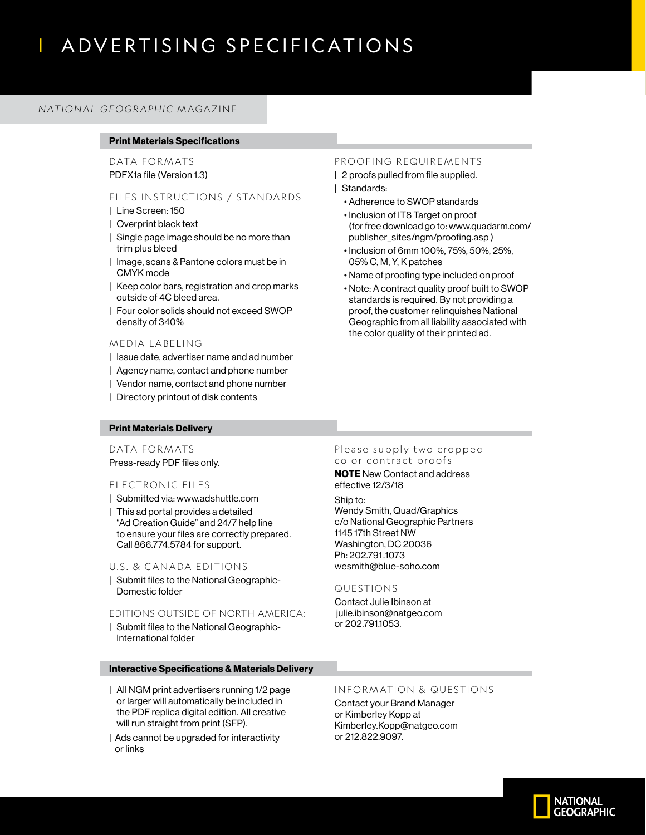#### NATIONAL GEOGRAPHIC MAGAZINE

#### Print Materials Specifications

DATA FORMATS PDFX1a file (Version 1.3)

#### FILES INSTRUCTIONS / STANDARDS

| Line Screen: 150

- | Overprint black text
- | Single page image should be no more than trim plus bleed
- | Image, scans & Pantone colors must be in CMYK mode
- | Keep color bars, registration and crop marks outside of 4C bleed area.
- | Four color solids should not exceed SWOP density of 340%

#### MEDIA LABELING

- | Issue date, advertiser name and ad number
- | Agency name, contact and phone number
- | Vendor name, contact and phone number
- | Directory printout of disk contents

#### Print Materials Delivery

#### DATA FORMATS

Press-ready PDF files only.

#### ELECTRONIC FILES

- | Submitted via: www.adshuttle.com
- | This ad portal provides a detailed "Ad Creation Guide" and 24/7 help line to ensure your files are correctly prepared. Call 866.774.5784 for support.

#### U.S. & CANADA EDITIONS

| Submit files to the National Geographic-Domestic folder

#### EDITIONS OUTSIDE OF NORTH AMERICA:

| Submit files to the National Geographic-International folder

#### Interactive Specifications & Materials Delivery

- | All NGM print advertisers running 1/2 page or larger will automatically be included in the PDF replica digital edition. All creative will run straight from print (SFP).
- | Ads cannot be upgraded for interactivity or links

#### PROOFING REQUIREMENTS

- | 2 proofs pulled from file supplied.
- | Standards:
- Adherence to SWOP standards
- Inclusion of IT8 Target on proof (for free download go to: www.quadarm.com/ publisher\_sites/ngm/proofing.asp )
- Inclusion of 6mm 100%, 75%, 50%, 25%, 05% C, M, Y, K patches
- Name of proofing type included on proof
- Note: A contract quality proof built to SWOP standards is required. By not providing a proof, the customer relinquishes National Geographic from all liability associated with the color quality of their printed ad.

#### Please supply two cropped color contract proofs

#### NOTE New Contact and address effective 12/3/18

Ship to: Wendy Smith, Quad/Graphics c/o National Geographic Partners 1145 17th Street NW Washington, DC 20036 Ph: 202.791 .1073 wesmith@blue-soho.com

#### QUESTIONS

Contact Julie Ibinson at julie.ibinson@natgeo.com or 202.791.1053.

#### INFORMATION & QUESTIONS

Contact your Brand Manager or Kimberley Kopp at Kimberley.Kopp@natgeo.com or 212.822.9097.

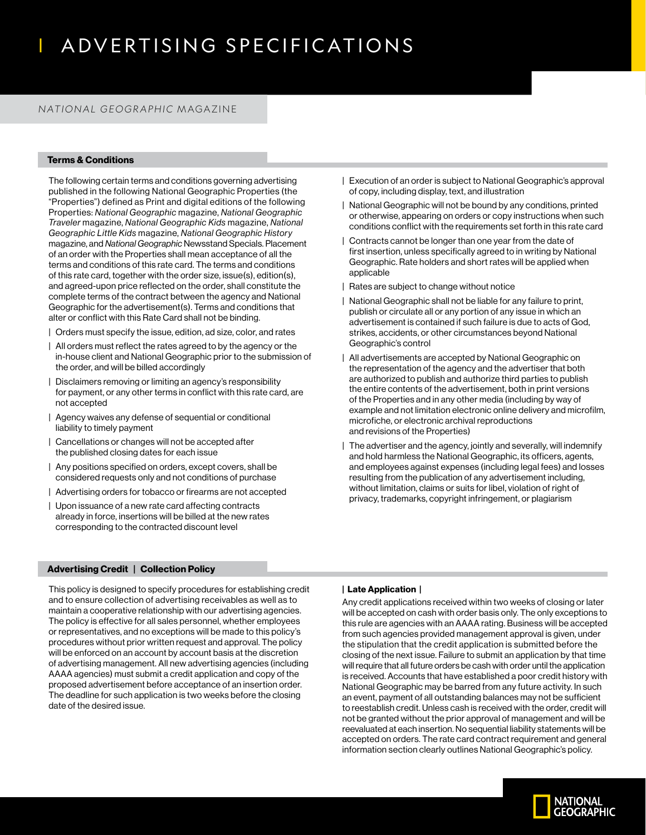### | ADVERTISING SPECIFICATIONS

#### NATIONAL GEOGRAPHIC MAGAZINE

#### Terms & Conditions

The following certain terms and conditions governing advertising published in the following National Geographic Properties (the "Properties") defined as Print and digital editions of the following Properties: *National Geographic* magazine, *National Geographic Traveler* magazine, *National Geographic Kids* magazine, *National Geographic Little Kids* magazine, *National Geographic History* magazine, and *National Geographic* Newsstand Specials. Placement of an order with the Properties shall mean acceptance of all the terms and conditions of this rate card. The terms and conditions of this rate card, together with the order size, issue(s), edition(s), and agreed-upon price reflected on the order, shall constitute the complete terms of the contract between the agency and National Geographic for the advertisement(s). Terms and conditions that alter or conflict with this Rate Card shall not be binding.

- | Orders must specify the issue, edition, ad size, color, and rates
- | All orders must reflect the rates agreed to by the agency or the in-house client and National Geographic prior to the submission of the order, and will be billed accordingly
- | Disclaimers removing or limiting an agency's responsibility for payment, or any other terms in conflict with this rate card, are not accepted
- Agency waives any defense of sequential or conditional liability to timely payment
- | Cancellations or changes will not be accepted after the published closing dates for each issue
- Any positions specified on orders, except covers, shall be considered requests only and not conditions of purchase
- | Advertising orders for tobacco or firearms are not accepted
- | Upon issuance of a new rate card affecting contracts already in force, insertions will be billed at the new rates corresponding to the contracted discount level

#### Advertising Credit | Collection Policy

This policy is designed to specify procedures for establishing credit and to ensure collection of advertising receivables as well as to maintain a cooperative relationship with our advertising agencies. The policy is effective for all sales personnel, whether employees or representatives, and no exceptions will be made to this policy's procedures without prior written request and approval. The policy will be enforced on an account by account basis at the discretion of advertising management. All new advertising agencies (including AAAA agencies) must submit a credit application and copy of the proposed advertisement before acceptance of an insertion order. The deadline for such application is two weeks before the closing date of the desired issue.

- | Execution of an order is subject to National Geographic's approval of copy, including display, text, and illustration
- | National Geographic will not be bound by any conditions, printed or otherwise, appearing on orders or copy instructions when such conditions conflict with the requirements set forth in this rate card
- | Contracts cannot be longer than one year from the date of first insertion, unless specifically agreed to in writing by National Geographic. Rate holders and short rates will be applied when applicable
- | Rates are subject to change without notice
- National Geographic shall not be liable for any failure to print, publish or circulate all or any portion of any issue in which an advertisement is contained if such failure is due to acts of God, strikes, accidents, or other circumstances beyond National Geographic's control
- | All advertisements are accepted by National Geographic on the representation of the agency and the advertiser that both are authorized to publish and authorize third parties to publish the entire contents of the advertisement, both in print versions of the Properties and in any other media (including by way of example and not limitation electronic online delivery and microfilm, microfiche, or electronic archival reproductions and revisions of the Properties)
- The advertiser and the agency, jointly and severally, will indemnify and hold harmless the National Geographic, its officers, agents, and employees against expenses (including legal fees) and losses resulting from the publication of any advertisement including, without limitation, claims or suits for libel, violation of right of privacy, trademarks, copyright infringement, or plagiarism

#### | Late Application |

Any credit applications received within two weeks of closing or later will be accepted on cash with order basis only. The only exceptions to this rule are agencies with an AAAA rating. Business will be accepted from such agencies provided management approval is given, under the stipulation that the credit application is submitted before the closing of the next issue. Failure to submit an application by that time will require that all future orders be cash with order until the application is received. Accounts that have established a poor credit history with National Geographic may be barred from any future activity. In such an event, payment of all outstanding balances may not be sufficient to reestablish credit. Unless cash is received with the order, credit will not be granted without the prior approval of management and will be reevaluated at each insertion. No sequential liability statements will be accepted on orders. The rate card contract requirement and general information section clearly outlines National Geographic's policy.

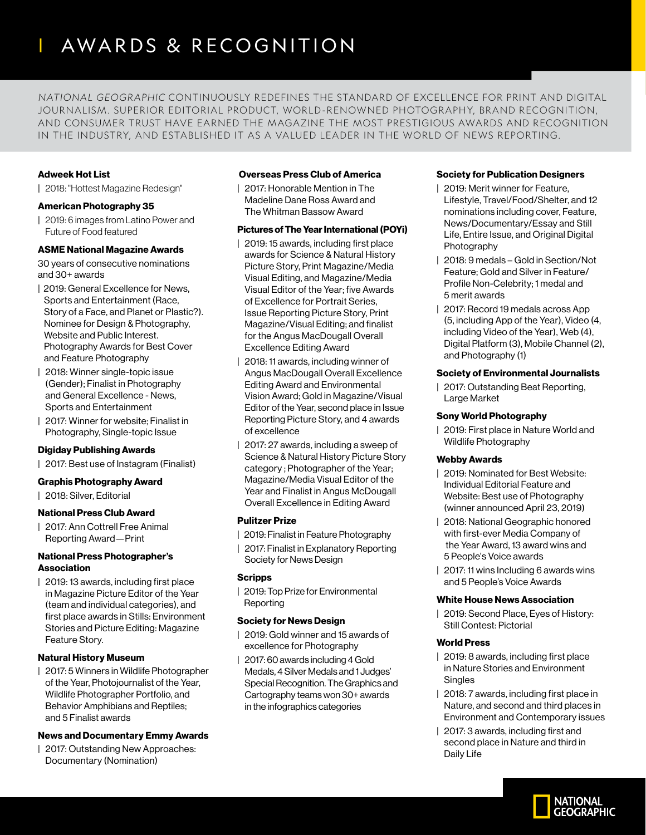## | AWARDS & RECOGNITION

NATIONAL GEOGRAPHIC CONTINUOUSLY REDEFINES THE STANDARD OF EXCELLENCE FOR PRINT AND DIGITAL JOURNALISM. SUPERIOR EDITORIAL PRODUCT, WORLD-RENOWNED PHOTOGRAPHY, BRAND RECOGNITION, AND CONSUMER TRUST HAVE EARNED THE MAGAZINE THE MOST PRESTIGIOUS AWARDS AND RECOGNITION IN THE INDUSTRY, AND ESTABLISHED IT AS A VALUED LEADER IN THE WORLD OF NEWS REPORTING.

#### Adweek Hot List

| 2018: "Hottest Magazine Redesign"

#### American Photography 35

| 2019: 6 images from Latino Power and Future of Food featured

#### ASME National Magazine Awards

30 years of consecutive nominations and 30+ awards

- | 2019: General Excellence for News, Sports and Entertainment (Race, Story of a Face, and Planet or Plastic?). Nominee for Design & Photography, Website and Public Interest. Photography Awards for Best Cover and Feature Photography
- | 2018: Winner single-topic issue (Gender); Finalist in Photography and General Excellence - News, Sports and Entertainment
- | 2017: Winner for website; Finalist in Photography, Single-topic Issue

#### Digiday Publishing Awards

| 2017: Best use of Instagram (Finalist)

#### Graphis Photography Award

| 2018: Silver, Editorial

#### National Press Club Award

| 2017: Ann Cottrell Free Animal Reporting Award—Print

#### National Press Photographer's Association

| 2019: 13 awards, including first place in Magazine Picture Editor of the Year (team and individual categories), and first place awards in Stills: Environment Stories and Picture Editing: Magazine Feature Story.

#### Natural History Museum

| 2017: 5 Winners in Wildlife Photographer of the Year, Photojournalist of the Year, Wildlife Photographer Portfolio, and Behavior Amphibians and Reptiles; and 5 Finalist awards

#### News and Documentary Emmy Awards

| 2017: Outstanding New Approaches: Documentary (Nomination)

#### Overseas Press Club of America

| 2017: Honorable Mention in The Madeline Dane Ross Award and The Whitman Bassow Award

#### Pictures of The Year International (POYi)

- | 2019: 15 awards, including first place awards for Science & Natural History Picture Story, Print Magazine/Media Visual Editing, and Magazine/Media Visual Editor of the Year; five Awards of Excellence for Portrait Series, Issue Reporting Picture Story, Print Magazine/Visual Editing; and finalist for the Angus MacDougall Overall Excellence Editing Award
- | 2018: 11 awards, including winner of Angus MacDougall Overall Excellence Editing Award and Environmental Vision Award; Gold in Magazine/Visual Editor of the Year, second place in Issue Reporting Picture Story, and 4 awards of excellence
- | 2017: 27 awards, including a sweep of Science & Natural History Picture Story category ; Photographer of the Year; Magazine/Media Visual Editor of the Year and Finalist in Angus McDougall Overall Excellence in Editing Award

#### Pulitzer Prize

- | 2019: Finalist in Feature Photography
- | 2017: Finalist in Explanatory Reporting Society for News Design

#### **Scripps**

| 2019: Top Prize for Environmental Reporting

#### Society for News Design

- | 2019: Gold winner and 15 awards of excellence for Photography
- | 2017: 60 awards including 4 Gold Medals, 4 Silver Medals and 1 Judges' Special Recognition. The Graphics and Cartography teams won 30+ awards in the infographics categories

#### Society for Publication Designers

- | 2019: Merit winner for Feature, Lifestyle, Travel/Food/Shelter, and 12 nominations including cover, Feature, News/Documentary/Essay and Still Life, Entire Issue, and Original Digital Photography
- | 2018: 9 medals Gold in Section/Not Feature; Gold and Silver in Feature/ Profile Non-Celebrity; 1 medal and 5 merit awards
- | 2017: Record 19 medals across App (5, including App of the Year), Video (4, including Video of the Year), Web (4), Digital Platform (3), Mobile Channel (2), and Photography (1)

#### Society of Environmental Journalists

| 2017: Outstanding Beat Reporting, Large Market

#### Sony World Photography

| 2019: First place in Nature World and Wildlife Photography

#### Webby Awards

- | 2019: Nominated for Best Website: Individual Editorial Feature and Website: Best use of Photography (winner announced April 23, 2019)
- | 2018: National Geographic honored with first-ever Media Company of the Year Award, 13 award wins and 5 People's Voice awards
- | 2017: 11 wins Including 6 awards wins and 5 People's Voice Awards

#### White House News Association

| 2019: Second Place, Eyes of History: Still Contest: Pictorial

#### World Press

- | 2019: 8 awards, including first place in Nature Stories and Environment Singles
- | 2018: 7 awards, including first place in Nature, and second and third places in Environment and Contemporary issues
- | 2017: 3 awards, including first and second place in Nature and third in Daily Life

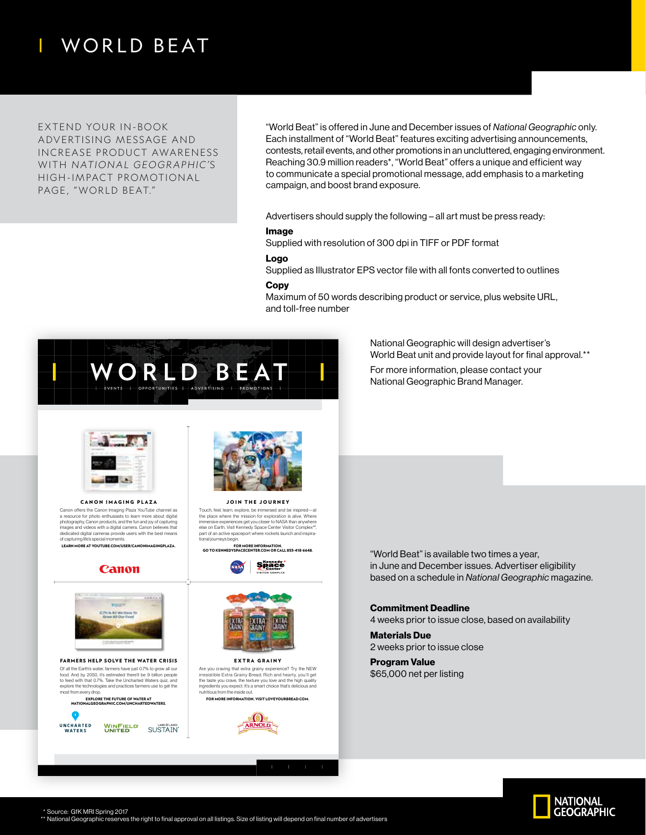### | WORLD BEAT

EXTEND YOUR IN-BOOK ADVERTISING MESSAGE AND IN CREASE PRODUCT AWARENESS WITH NATIONAL GEOGRAPHIC'S HIGH-IMPACT PROMOTIONAL PAGE, "WORLD BEAT."

"World Beat" is offered in June and December issues of *National Geographic* only. Each installment of "World Beat" features exciting advertising announcements, contests, retail events, and other promotions in an uncluttered, engaging environment. Reaching 30.9 million readers\*, "World Beat" offers a unique and efficient way to communicate a special promotional message, add emphasis to a marketing campaign, and boost brand exposure.

Advertisers should supply the following – all art must be press ready:

#### Image

Supplied with resolution of 300 dpi in TIFF or PDF format

#### Logo

Supplied as Illustrator EPS vector file with all fonts converted to outlines

#### Copy

Maximum of 50 words describing product or service, plus website URL, and toll-free number



National Geographic will design advertiser's World Beat unit and provide layout for final approval.\*\* For more information, please contact your National Geographic Brand Manager.



#### CANON IMAGING PLAZA Canon offers the Canon Imaging Plaza YouTube channel as a resource for photo enthusiasts to learn more about digital photography, Canon products, and the fun and joy of capturing images and videos with a digital camera. Canon believes that dedicated digital cameras provide users with the best means of capturing life's special moments.

LEARN MORE AT YOUTUBE.COM/USER/CANONIMAGINGPLAZA.

### **Canon**



FARMERS HELP SOLVE THE WATER CRISIS Of all the Earth's water, farmers have just 0.7% to grow all our food. And by 2050, it's estimated there'll be 9 billion people to feed with that 0.7%. Take the Uncharted Waters quiz, and explore the technologies and practices farmers use to get the most from every drop.





#### JOIN THE JOURNEY Touch, feel, learn, explore, be immersed and be inspired—at the place where the mission for exploration is alive. Where<br>immersive experiences get you closer to NASA than anywhere immersive experiences get you clos else on Earth. Visit Kennedy Space Center Visitor Complex®<br>part of an active spaceport where rockets launch and inspira part of an active spaceport where rockets launch and inspirational journeys begin.

FOR MORE INFORMATION,<br>GO TO KENNEDYSPACECENTER.COM OR CALL 855-418-6648.





#### EXTRA GRAINY Are you craving that extra grainy experience? Try the NEW irresistible Extra Grainy Bread. Rich and hearty, you'll get the taste you crave, the texture you love and the high quality ingredients you expect. It's a smart choice that's delicious and nutritious from the inside out.

FOR MORE INFORMATION, VISIT LOVEYOURBREAD.C

 $\mathbf{I}$ 



"World Beat" is available two times a year, in June and December issues. Advertiser eligibility based on a schedule in *National Geographic* magazine.

#### Commitment Deadline

4 weeks prior to issue close, based on availability

Materials Due 2 weeks prior to issue close

Program Value \$65,000 net per listing



\* Source: GfK MRI Spring 2017 \*\* National Geographic reserves the right to final approval on all listings. Size of listing will depend on final number of advertisers